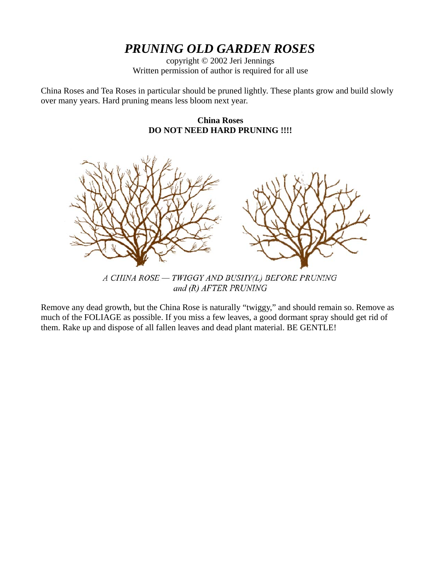# *PRUNING OLD GARDEN ROSES*

copyright © 2002 Jeri Jennings Written permission of author is required for all use

China Roses and Tea Roses in particular should be pruned lightly. These plants grow and build slowly over many years. Hard pruning means less bloom next year.





and (R) AFTER PRUNING

Remove any dead growth, but the China Rose is naturally "twiggy," and should remain so. Remove as much of the FOLIAGE as possible. If you miss a few leaves, a good dormant spray should get rid of them. Rake up and dispose of all fallen leaves and dead plant material. BE GENTLE!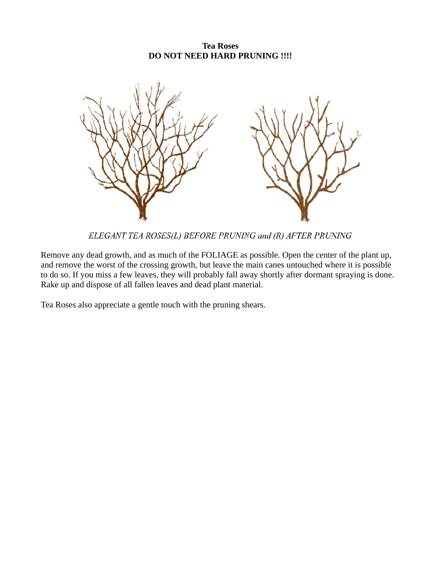### **Tea Roses DO NOT NEED HARD PRUNING !!!!**



ELEGANT TEA ROSES(L) BEFORE PRUNING and (R) AFTER PRUNING

Remove any dead growth, and as much of the FOLIAGE as possible. Open the center of the plant up, and remove the worst of the crossing growth, but leave the main canes untouched where it is possible to do so. If you miss a few leaves, they will probably fall away shortly after dormant spraying is done. Rake up and dispose of all fallen leaves and dead plant material.

Tea Roses also appreciate a gentle touch with the pruning shears.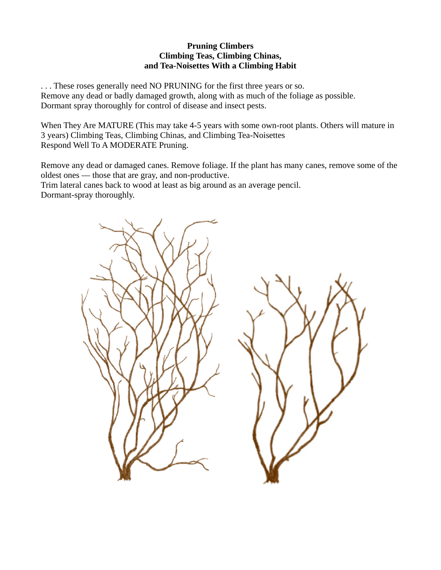#### **Pruning Climbers Climbing Teas, Climbing Chinas, and Tea-Noisettes With a Climbing Habit**

. . . These roses generally need NO PRUNING for the first three years or so. Remove any dead or badly damaged growth, along with as much of the foliage as possible. Dormant spray thoroughly for control of disease and insect pests.

When They Are MATURE (This may take 4-5 years with some own-root plants. Others will mature in 3 years) Climbing Teas, Climbing Chinas, and Climbing Tea-Noisettes Respond Well To A MODERATE Pruning.

Remove any dead or damaged canes. Remove foliage. If the plant has many canes, remove some of the oldest ones — those that are gray, and non-productive.

Trim lateral canes back to wood at least as big around as an average pencil.

Dormant-spray thoroughly.

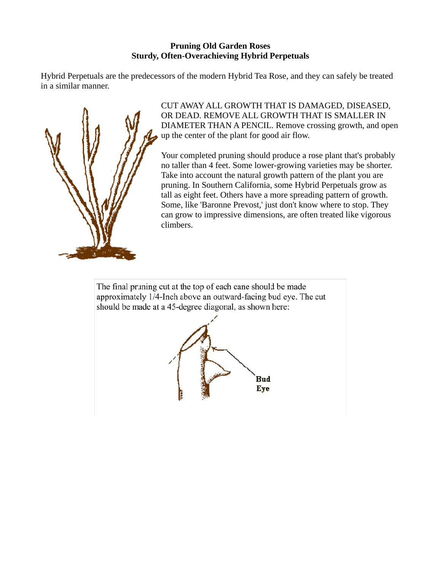## **Pruning Old Garden Roses Sturdy, Often-Overachieving Hybrid Perpetuals**

Hybrid Perpetuals are the predecessors of the modern Hybrid Tea Rose, and they can safely be treated in a similar manner.



CUT AWAY ALL GROWTH THAT IS DAMAGED, DISEASED, OR DEAD. REMOVE ALL GROWTH THAT IS SMALLER IN DIAMETER THAN A PENCIL. Remove crossing growth, and open up the center of the plant for good air flow.

Your completed pruning should produce a rose plant that's probably no taller than 4 feet. Some lower-growing varieties may be shorter. Take into account the natural growth pattern of the plant you are pruning. In Southern California, some Hybrid Perpetuals grow as tall as eight feet. Others have a more spreading pattern of growth. Some, like 'Baronne Prevost,' just don't know where to stop. They can grow to impressive dimensions, are often treated like vigorous climbers.

The final pruning cut at the top of each cane should be made approximately 1/4-Inch above an outward-facing bud eye. The cut should be made at a 45-degree diagonal, as shown here: